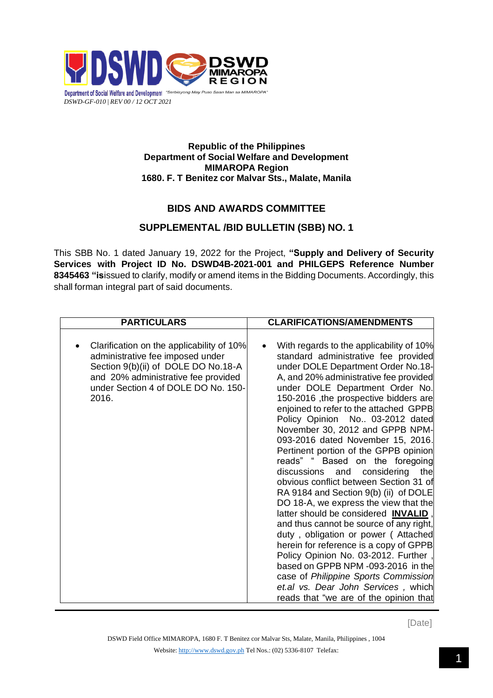

## **Republic of the Philippines Department of Social Welfare and Development MIMAROPA Region 1680. F. T Benitez cor Malvar Sts., Malate, Manila**

## **BIDS AND AWARDS COMMITTEE**

## **SUPPLEMENTAL /BID BULLETIN (SBB) NO. 1**

This SBB No. 1 dated January 19, 2022 for the Project, **"Supply and Delivery of Security Services with Project ID No. DSWD4B-2021-001 and PHILGEPS Reference Number 8345463 "is**issued to clarify, modify or amend items in the Bidding Documents. Accordingly, this shall forman integral part of said documents.

| <b>PARTICULARS</b>                                                                                                                                                                                          | <b>CLARIFICATIONS/AMENDMENTS</b>                                                                                                                                                                                                                                                                                                                                                                                                                                                                                                                                                                                                                                                                                                                                                                                                                                                                                                                                                                                                            |
|-------------------------------------------------------------------------------------------------------------------------------------------------------------------------------------------------------------|---------------------------------------------------------------------------------------------------------------------------------------------------------------------------------------------------------------------------------------------------------------------------------------------------------------------------------------------------------------------------------------------------------------------------------------------------------------------------------------------------------------------------------------------------------------------------------------------------------------------------------------------------------------------------------------------------------------------------------------------------------------------------------------------------------------------------------------------------------------------------------------------------------------------------------------------------------------------------------------------------------------------------------------------|
| Clarification on the applicability of 10%<br>administrative fee imposed under<br>Section 9(b)(ii) of DOLE DO No.18-A<br>and 20% administrative fee provided<br>under Section 4 of DOLE DO No. 150-<br>2016. | With regards to the applicability of 10%<br>$\bullet$<br>standard administrative fee provided<br>under DOLE Department Order No.18-<br>A, and 20% administrative fee provided<br>under DOLE Department Order No.<br>150-2016, the prospective bidders are<br>enjoined to refer to the attached GPPB<br>Policy Opinion No 03-2012 dated<br>November 30, 2012 and GPPB NPM-<br>093-2016 dated November 15, 2016.<br>Pertinent portion of the GPPB opinion<br>reads" " Based on the foregoing<br>considering<br>discussions<br>and<br>the<br>obvious conflict between Section 31 of<br>RA 9184 and Section 9(b) (ii) of DOLE<br>DO 18-A, we express the view that the<br>latter should be considered INVALID<br>and thus cannot be source of any right,<br>duty, obligation or power (Attached<br>herein for reference is a copy of GPPB<br>Policy Opinion No. 03-2012. Further<br>based on GPPB NPM -093-2016 in the<br>case of Philippine Sports Commission<br>et.al vs. Dear John Services, which<br>reads that "we are of the opinion that |

[Date]

DSWD Field Office MIMAROPA, 1680 F. T Benitez cor Malvar Sts, Malate, Manila, Philippines , 1004 Website: [http://www.dswd.gov.ph](http://www.dswd.gov.ph/) Tel Nos.: (02) 5336-8107 Telefax: